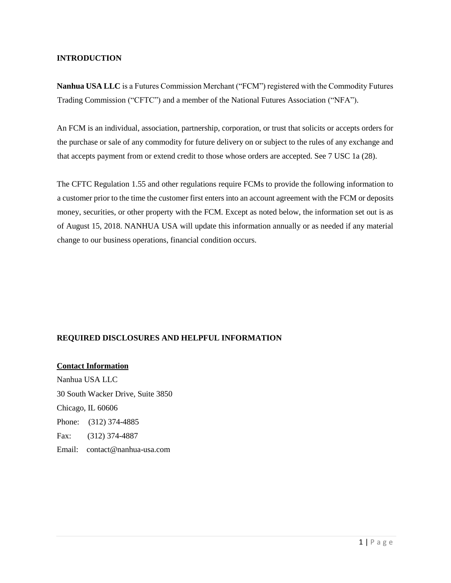## **INTRODUCTION**

**Nanhua USA LLC** is a Futures Commission Merchant ("FCM") registered with the Commodity Futures Trading Commission ("CFTC") and a member of the National Futures Association ("NFA").

An FCM is an individual, association, partnership, corporation, or trust that solicits or accepts orders for the purchase or sale of any commodity for future delivery on or subject to the rules of any exchange and that accepts payment from or extend credit to those whose orders are accepted. See 7 USC 1a (28).

The CFTC Regulation 1.55 and other regulations require FCMs to provide the following information to a customer prior to the time the customer first enters into an account agreement with the FCM or deposits money, securities, or other property with the FCM. Except as noted below, the information set out is as of August 15, 2018. NANHUA USA will update this information annually or as needed if any material change to our business operations, financial condition occurs.

# **REQUIRED DISCLOSURES AND HELPFUL INFORMATION**

#### **Contact Information**

Nanhua USA LLC 30 South Wacker Drive, Suite 3850 Chicago, IL 60606 Phone: (312) 374-4885 Fax: (312) 374-4887 Email: contact@nanhua-usa.com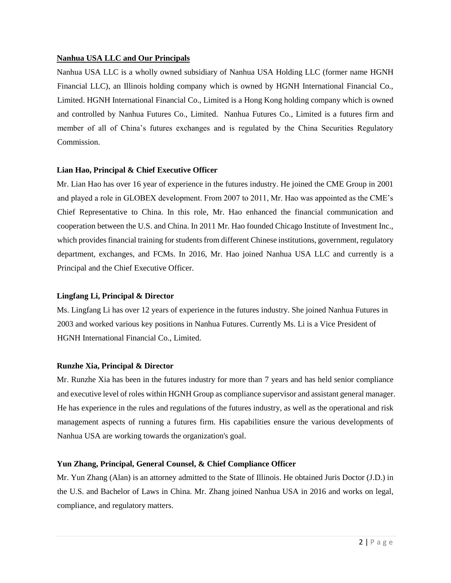## **Nanhua USA LLC and Our Principals**

Nanhua USA LLC is a wholly owned subsidiary of Nanhua USA Holding LLC (former name HGNH Financial LLC), an Illinois holding company which is owned by HGNH International Financial Co., Limited. HGNH International Financial Co., Limited is a Hong Kong holding company which is owned and controlled by Nanhua Futures Co., Limited. Nanhua Futures Co., Limited is a futures firm and member of all of China's futures exchanges and is regulated by the China Securities Regulatory Commission.

## **Lian Hao, Principal & Chief Executive Officer**

Mr. Lian Hao has over 16 year of experience in the futures industry. He joined the CME Group in 2001 and played a role in GLOBEX development. From 2007 to 2011, Mr. Hao was appointed as the CME's Chief Representative to China. In this role, Mr. Hao enhanced the financial communication and cooperation between the U.S. and China. In 2011 Mr. Hao founded Chicago Institute of Investment Inc., which provides financial training for students from different Chinese institutions, government, regulatory department, exchanges, and FCMs. In 2016, Mr. Hao joined Nanhua USA LLC and currently is a Principal and the Chief Executive Officer.

# **Lingfang Li, Principal & Director**

Ms. Lingfang Li has over 12 years of experience in the futures industry. She joined Nanhua Futures in 2003 and worked various key positions in Nanhua Futures. Currently Ms. Li is a Vice President of HGNH International Financial Co., Limited.

# **Runzhe Xia, Principal & Director**

Mr. Runzhe Xia has been in the futures industry for more than 7 years and has held senior compliance and executive level of roles within HGNH Group as compliance supervisor and assistant general manager. He has experience in the rules and regulations of the futures industry, as well as the operational and risk management aspects of running a futures firm. His capabilities ensure the various developments of Nanhua USA are working towards the organization's goal.

# **Yun Zhang, Principal, General Counsel, & Chief Compliance Officer**

Mr. Yun Zhang (Alan) is an attorney admitted to the State of Illinois. He obtained Juris Doctor (J.D.) in the U.S. and Bachelor of Laws in China. Mr. Zhang joined Nanhua USA in 2016 and works on legal, compliance, and regulatory matters.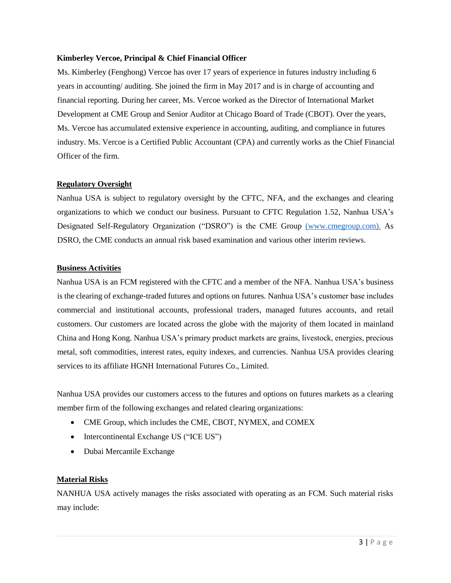### **Kimberley Vercoe, Principal & Chief Financial Officer**

Ms. Kimberley (Fenghong) Vercoe has over 17 years of experience in futures industry including 6 years in accounting/ auditing. She joined the firm in May 2017 and is in charge of accounting and financial reporting. During her career, Ms. Vercoe worked as the Director of International Market Development at CME Group and Senior Auditor at Chicago Board of Trade (CBOT). Over the years, Ms. Vercoe has accumulated extensive experience in accounting, auditing, and compliance in futures industry. Ms. Vercoe is a Certified Public Accountant (CPA) and currently works as the Chief Financial Officer of the firm.

## **Regulatory Oversight**

Nanhua USA is subject to regulatory oversight by the CFTC, NFA, and the exchanges and clearing organizations to which we conduct our business. Pursuant to CFTC Regulation 1.52, Nanhua USA's Designated Self-Regulatory Organization ("DSRO") is the CME Group [\(www.cmegroup.com\).](http://(www.cmegroup.com)./) As DSRO, the CME conducts an annual risk based examination and various other interim reviews.

## **Business Activities**

Nanhua USA is an FCM registered with the CFTC and a member of the NFA. Nanhua USA's business is the clearing of exchange-traded futures and options on futures. Nanhua USA's customer base includes commercial and institutional accounts, professional traders, managed futures accounts, and retail customers. Our customers are located across the globe with the majority of them located in mainland China and Hong Kong. Nanhua USA's primary product markets are grains, livestock, energies, precious metal, soft commodities, interest rates, equity indexes, and currencies. Nanhua USA provides clearing services to its affiliate HGNH International Futures Co., Limited.

Nanhua USA provides our customers access to the futures and options on futures markets as a clearing member firm of the following exchanges and related clearing organizations:

- CME Group, which includes the CME, CBOT, NYMEX, and COMEX
- Intercontinental Exchange US ("ICE US")
- Dubai Mercantile Exchange

# **Material Risks**

NANHUA USA actively manages the risks associated with operating as an FCM. Such material risks may include: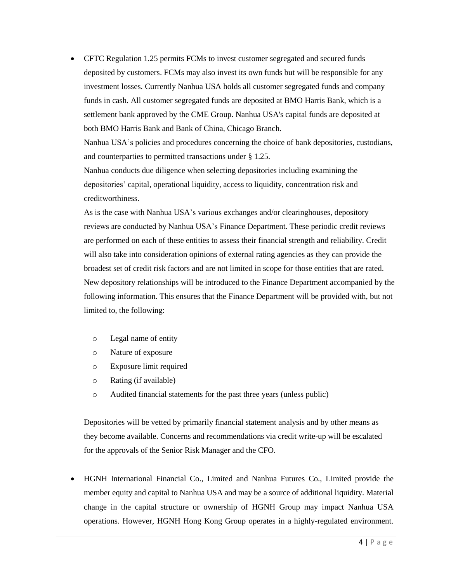• CFTC Regulation 1.25 permits FCMs to invest customer segregated and secured funds deposited by customers. FCMs may also invest its own funds but will be responsible for any investment losses. Currently Nanhua USA holds all customer segregated funds and company funds in cash. All customer segregated funds are deposited at BMO Harris Bank, which is a settlement bank approved by the CME Group. Nanhua USA's capital funds are deposited at both BMO Harris Bank and Bank of China, Chicago Branch.

Nanhua USA's policies and procedures concerning the choice of bank depositories, custodians, and counterparties to permitted transactions under § 1.25.

Nanhua conducts due diligence when selecting depositories including examining the depositories' capital, operational liquidity, access to liquidity, concentration risk and creditworthiness.

As is the case with Nanhua USA's various exchanges and/or clearinghouses, depository reviews are conducted by Nanhua USA's Finance Department. These periodic credit reviews are performed on each of these entities to assess their financial strength and reliability. Credit will also take into consideration opinions of external rating agencies as they can provide the broadest set of credit risk factors and are not limited in scope for those entities that are rated. New depository relationships will be introduced to the Finance Department accompanied by the following information. This ensures that the Finance Department will be provided with, but not limited to, the following:

- o Legal name of entity
- o Nature of exposure
- o Exposure limit required
- o Rating (if available)
- o Audited financial statements for the past three years (unless public)

Depositories will be vetted by primarily financial statement analysis and by other means as they become available. Concerns and recommendations via credit write-up will be escalated for the approvals of the Senior Risk Manager and the CFO.

• HGNH International Financial Co., Limited and Nanhua Futures Co., Limited provide the member equity and capital to Nanhua USA and may be a source of additional liquidity. Material change in the capital structure or ownership of HGNH Group may impact Nanhua USA operations. However, HGNH Hong Kong Group operates in a highly-regulated environment.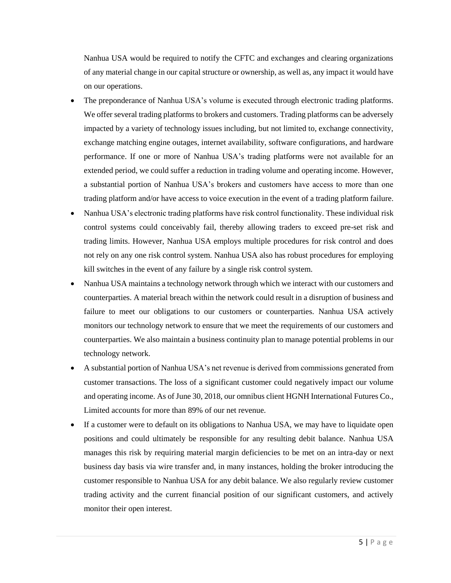Nanhua USA would be required to notify the CFTC and exchanges and clearing organizations of any material change in our capital structure or ownership, as well as, any impact it would have on our operations.

- The preponderance of Nanhua USA's volume is executed through electronic trading platforms. We offer several trading platforms to brokers and customers. Trading platforms can be adversely impacted by a variety of technology issues including, but not limited to, exchange connectivity, exchange matching engine outages, internet availability, software configurations, and hardware performance. If one or more of Nanhua USA's trading platforms were not available for an extended period, we could suffer a reduction in trading volume and operating income. However, a substantial portion of Nanhua USA's brokers and customers have access to more than one trading platform and/or have access to voice execution in the event of a trading platform failure.
- Nanhua USA's electronic trading platforms have risk control functionality. These individual risk control systems could conceivably fail, thereby allowing traders to exceed pre-set risk and trading limits. However, Nanhua USA employs multiple procedures for risk control and does not rely on any one risk control system. Nanhua USA also has robust procedures for employing kill switches in the event of any failure by a single risk control system.
- Nanhua USA maintains a technology network through which we interact with our customers and counterparties. A material breach within the network could result in a disruption of business and failure to meet our obligations to our customers or counterparties. Nanhua USA actively monitors our technology network to ensure that we meet the requirements of our customers and counterparties. We also maintain a business continuity plan to manage potential problems in our technology network.
- A substantial portion of Nanhua USA's net revenue is derived from commissions generated from customer transactions. The loss of a significant customer could negatively impact our volume and operating income. As of June 30, 2018, our omnibus client HGNH International Futures Co., Limited accounts for more than 89% of our net revenue.
- If a customer were to default on its obligations to Nanhua USA, we may have to liquidate open positions and could ultimately be responsible for any resulting debit balance. Nanhua USA manages this risk by requiring material margin deficiencies to be met on an intra-day or next business day basis via wire transfer and, in many instances, holding the broker introducing the customer responsible to Nanhua USA for any debit balance. We also regularly review customer trading activity and the current financial position of our significant customers, and actively monitor their open interest.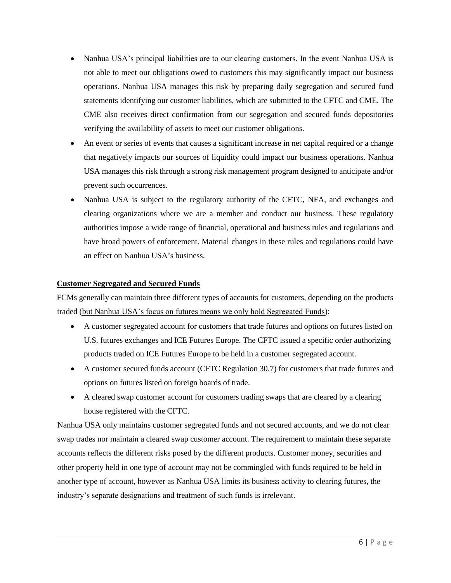- Nanhua USA's principal liabilities are to our clearing customers. In the event Nanhua USA is not able to meet our obligations owed to customers this may significantly impact our business operations. Nanhua USA manages this risk by preparing daily segregation and secured fund statements identifying our customer liabilities, which are submitted to the CFTC and CME. The CME also receives direct confirmation from our segregation and secured funds depositories verifying the availability of assets to meet our customer obligations.
- An event or series of events that causes a significant increase in net capital required or a change that negatively impacts our sources of liquidity could impact our business operations. Nanhua USA manages this risk through a strong risk management program designed to anticipate and/or prevent such occurrences.
- Nanhua USA is subject to the regulatory authority of the CFTC, NFA, and exchanges and clearing organizations where we are a member and conduct our business. These regulatory authorities impose a wide range of financial, operational and business rules and regulations and have broad powers of enforcement. Material changes in these rules and regulations could have an effect on Nanhua USA's business.

## **Customer Segregated and Secured Funds**

FCMs generally can maintain three different types of accounts for customers, depending on the products traded (but Nanhua USA's focus on futures means we only hold Segregated Funds):

- A customer segregated account for customers that trade futures and options on futures listed on U.S. futures exchanges and ICE Futures Europe. The CFTC issued a specific order authorizing products traded on ICE Futures Europe to be held in a customer segregated account.
- A customer secured funds account (CFTC Regulation 30.7) for customers that trade futures and options on futures listed on foreign boards of trade.
- A cleared swap customer account for customers trading swaps that are cleared by a clearing house registered with the CFTC.

Nanhua USA only maintains customer segregated funds and not secured accounts, and we do not clear swap trades nor maintain a cleared swap customer account. The requirement to maintain these separate accounts reflects the different risks posed by the different products. Customer money, securities and other property held in one type of account may not be commingled with funds required to be held in another type of account, however as Nanhua USA limits its business activity to clearing futures, the industry's separate designations and treatment of such funds is irrelevant.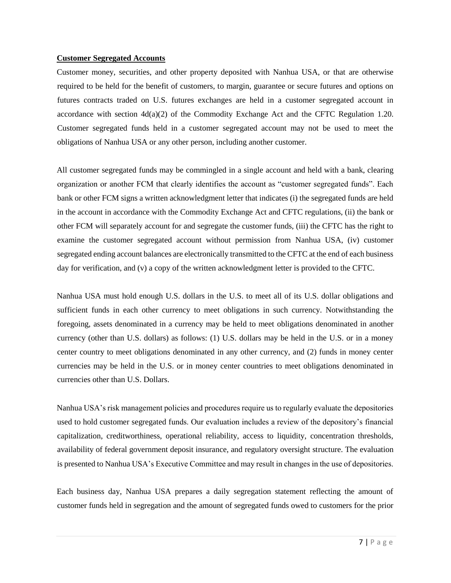#### **Customer Segregated Accounts**

Customer money, securities, and other property deposited with Nanhua USA, or that are otherwise required to be held for the benefit of customers, to margin, guarantee or secure futures and options on futures contracts traded on U.S. futures exchanges are held in a customer segregated account in accordance with section  $4d(a)(2)$  of the Commodity Exchange Act and the CFTC Regulation 1.20. Customer segregated funds held in a customer segregated account may not be used to meet the obligations of Nanhua USA or any other person, including another customer.

All customer segregated funds may be commingled in a single account and held with a bank, clearing organization or another FCM that clearly identifies the account as "customer segregated funds". Each bank or other FCM signs a written acknowledgment letter that indicates (i) the segregated funds are held in the account in accordance with the Commodity Exchange Act and CFTC regulations, (ii) the bank or other FCM will separately account for and segregate the customer funds, (iii) the CFTC has the right to examine the customer segregated account without permission from Nanhua USA, (iv) customer segregated ending account balances are electronically transmitted to the CFTC at the end of each business day for verification, and (v) a copy of the written acknowledgment letter is provided to the CFTC.

Nanhua USA must hold enough U.S. dollars in the U.S. to meet all of its U.S. dollar obligations and sufficient funds in each other currency to meet obligations in such currency. Notwithstanding the foregoing, assets denominated in a currency may be held to meet obligations denominated in another currency (other than U.S. dollars) as follows: (1) U.S. dollars may be held in the U.S. or in a money center country to meet obligations denominated in any other currency, and (2) funds in money center currencies may be held in the U.S. or in money center countries to meet obligations denominated in currencies other than U.S. Dollars.

Nanhua USA's risk management policies and procedures require us to regularly evaluate the depositories used to hold customer segregated funds. Our evaluation includes a review of the depository's financial capitalization, creditworthiness, operational reliability, access to liquidity, concentration thresholds, availability of federal government deposit insurance, and regulatory oversight structure. The evaluation is presented to Nanhua USA's Executive Committee and may result in changes in the use of depositories.

Each business day, Nanhua USA prepares a daily segregation statement reflecting the amount of customer funds held in segregation and the amount of segregated funds owed to customers for the prior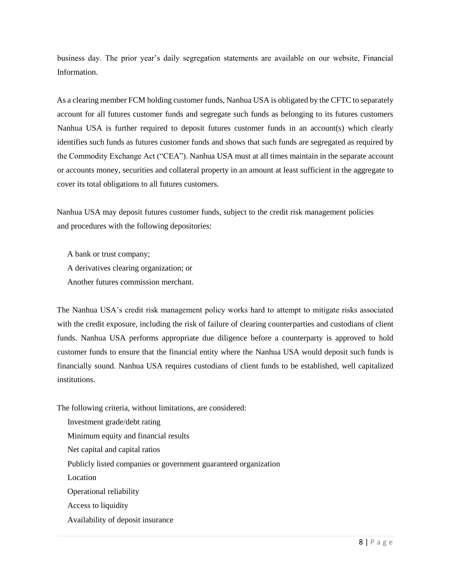business day. The prior year's daily segregation statements are available on our website, Financial Information.

As a clearing member FCM holding customer funds, Nanhua USA is obligated by the CFTC to separately account for all futures customer funds and segregate such funds as belonging to its futures customers Nanhua USA is further required to deposit futures customer funds in an account(s) which clearly identifies such funds as futures customer funds and shows that such funds are segregated as required by the Commodity Exchange Act ("CEA"). Nanhua USA must at all times maintain in the separate account or accounts money, securities and collateral property in an amount at least sufficient in the aggregate to cover its total obligations to all futures customers.

Nanhua USA may deposit futures customer funds, subject to the credit risk management policies and procedures with the following depositories:

A bank or trust company; A derivatives clearing organization; or Another futures commission merchant.

The Nanhua USA's credit risk management policy works hard to attempt to mitigate risks associated with the credit exposure, including the risk of failure of clearing counterparties and custodians of client funds. Nanhua USA performs appropriate due diligence before a counterparty is approved to hold customer funds to ensure that the financial entity where the Nanhua USA would deposit such funds is financially sound. Nanhua USA requires custodians of client funds to be established, well capitalized institutions.

The following criteria, without limitations, are considered:

Investment grade/debt rating Minimum equity and financial results Net capital and capital ratios Publicly listed companies or government guaranteed organization Location Operational reliability Access to liquidity Availability of deposit insurance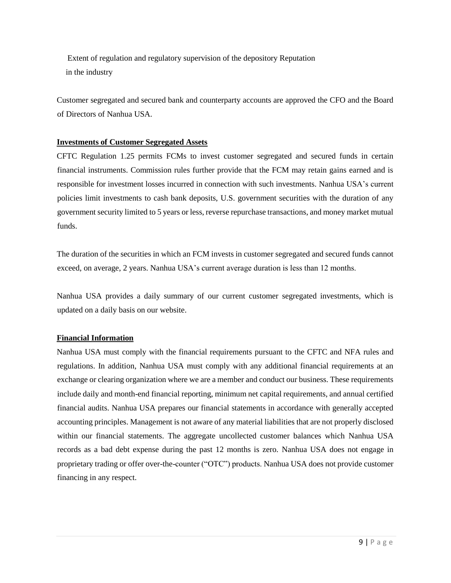Extent of regulation and regulatory supervision of the depository Reputation in the industry

Customer segregated and secured bank and counterparty accounts are approved the CFO and the Board of Directors of Nanhua USA.

# **Investments of Customer Segregated Assets**

CFTC Regulation 1.25 permits FCMs to invest customer segregated and secured funds in certain financial instruments. Commission rules further provide that the FCM may retain gains earned and is responsible for investment losses incurred in connection with such investments. Nanhua USA's current policies limit investments to cash bank deposits, U.S. government securities with the duration of any government security limited to 5 years or less, reverse repurchase transactions, and money market mutual funds.

The duration of the securities in which an FCM invests in customer segregated and secured funds cannot exceed, on average, 2 years. Nanhua USA's current average duration is less than 12 months.

Nanhua USA provides a daily summary of our current customer segregated investments, which is updated on a daily basis on our websit[e.](http://www.rcgdirect.com/wp-content/uploads/Investment-Pie-Chart.pdf)

## **Financial Information**

Nanhua USA must comply with the financial requirements pursuant to the CFTC and NFA rules and regulations. In addition, Nanhua USA must comply with any additional financial requirements at an exchange or clearing organization where we are a member and conduct our business. These requirements include daily and month-end financial reporting, minimum net capital requirements, and annual certified financial audits. Nanhua USA prepares our financial statements in accordance with generally accepted accounting principles. Management is not aware of any material liabilities that are not properly disclosed within our financial statements. The aggregate uncollected customer balances which Nanhua USA records as a bad debt expense during the past 12 months is zero. Nanhua USA does not engage in proprietary trading or offer over-the-counter ("OTC") products. Nanhua USA does not provide customer financing in any respect.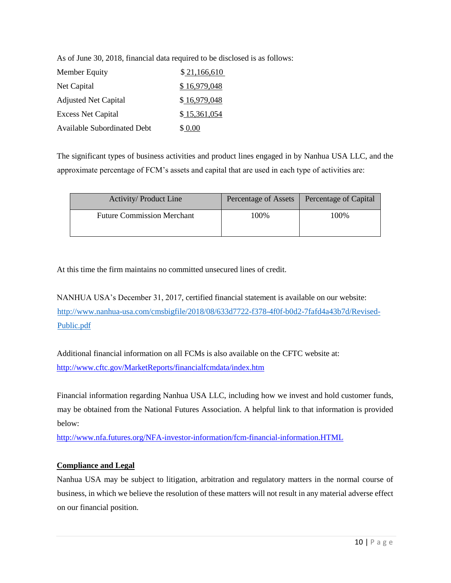As of June 30, 2018, financial data required to be disclosed is as follows:

| Member Equity                      | \$21,166,610 |
|------------------------------------|--------------|
| Net Capital                        | \$16,979,048 |
| <b>Adjusted Net Capital</b>        | \$16,979,048 |
| <b>Excess Net Capital</b>          | \$15,361,054 |
| <b>Available Subordinated Debt</b> | \$ 0.00      |

The significant types of business activities and product lines engaged in by Nanhua USA LLC, and the approximate percentage of FCM's assets and capital that are used in each type of activities are:

| <b>Activity/Product Line</b>      | Percentage of Assets | Percentage of Capital |
|-----------------------------------|----------------------|-----------------------|
| <b>Future Commission Merchant</b> | 100%                 | 100%                  |

At this time the firm maintains no committed unsecured lines of credit.

NANHUA USA's December 31, 2017, certified financial statement is available on our website: [http://www.nanhua-usa.com/cmsbigfile/2018/08/633d7722-f378-4f0f-b0d2-7fafd4a43b7d/Revised-](http://www.nanhua-usa.com/cmsbigfile/2018/08/633d7722-f378-4f0f-b0d2-7fafd4a43b7d/Revised-Public.pdf)[Public.pdf](http://www.nanhua-usa.com/cmsbigfile/2018/08/633d7722-f378-4f0f-b0d2-7fafd4a43b7d/Revised-Public.pdf)

Additional financial information on all FCMs is also available on the CFTC website at: <http://www.cftc.gov/MarketReports/financialfcmdata/index.htm>

Financial information regarding Nanhua USA LLC, including how we invest and hold customer funds, may be obtained from the National Futures Association. A helpful link to that information is provided below:

<http://www.nfa.futures.org/NFA-investor-information/fcm-financial-information.HTML>

# **Compliance and Legal**

Nanhua USA may be subject to litigation, arbitration and regulatory matters in the normal course of business, in which we believe the resolution of these matters will not result in any material adverse effect on our financial position.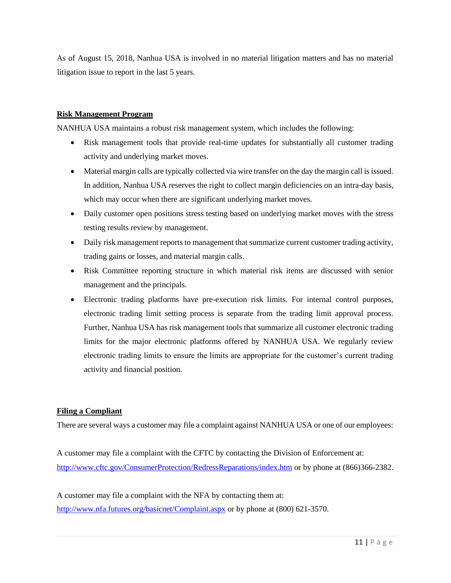As of August 15, 2018, Nanhua USA is involved in no material litigation matters and has no material litigation issue to report in the last 5 years.

## **Risk Management Program**

NANHUA USA maintains a robust risk management system, which includes the following:

- Risk management tools that provide real-time updates for substantially all customer trading activity and underlying market moves.
- Material margin calls are typically collected via wire transfer on the day the margin call is issued. In addition, Nanhua USA reserves the right to collect margin deficiencies on an intra-day basis, which may occur when there are significant underlying market moves.
- Daily customer open positions stress testing based on underlying market moves with the stress testing results review by management.
- Daily risk management reports to management that summarize current customer trading activity, trading gains or losses, and material margin calls.
- Risk Committee reporting structure in which material risk items are discussed with senior management and the principals.
- Electronic trading platforms have pre-execution risk limits. For internal control purposes, electronic trading limit setting process is separate from the trading limit approval process. Further, Nanhua USA has risk management tools that summarize all customer electronic trading limits for the major electronic platforms offered by NANHUA USA. We regularly review electronic trading limits to ensure the limits are appropriate for the customer's current trading activity and financial position.

# **Filing a Compliant**

There are several ways a customer may file a complaint against NANHUA USA or one of our employees:

A customer may file a complaint with the CFTC by contacting the Division of Enforcement at: <http://www.cftc.gov/ConsumerProtection/RedressReparations/index.htm> [o](http://www.cftc.gov/ConsumerProtection/RedressReparations/index.htm)r by phone at (866)366-2382.

A customer may file a complaint with the NFA by contacting them at: <http://www.nfa.futures.org/basicnet/Complaint.aspx> or by phone at (800) 621-3570.